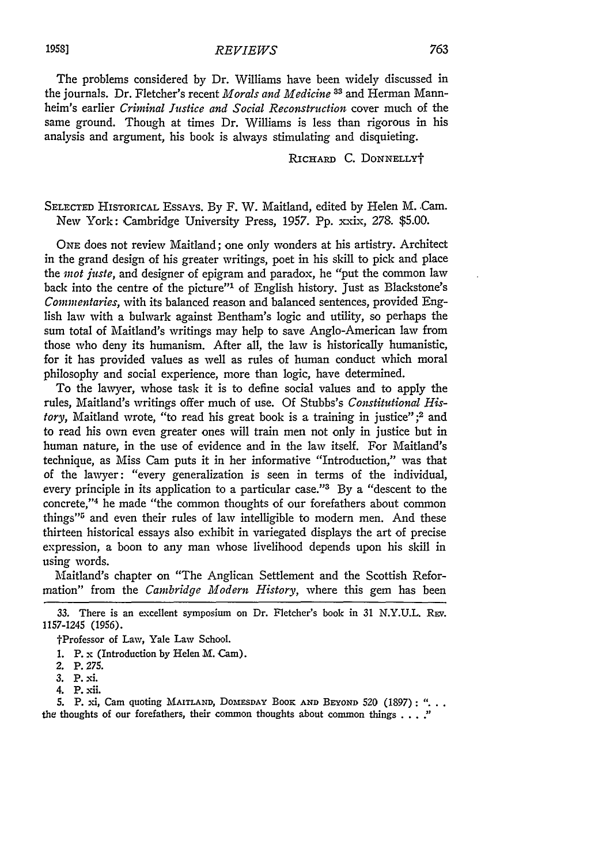## *REVIEWS*

The problems considered by Dr. Williams have been widely discussed in the journals. Dr. Fletcher's recent *Morals and Medicine* <sup>33</sup> and Herman Mannheim's earlier *Criminal Justice and Social Reconstruction* cover much of the same ground. Though at times Dr. Williams is less than rigorous in his analysis and argument, his book is always stimulating and disquieting.

RICHARD C. **DONNELLYt**

SELECTED HISTORICAL EssAys. By F. W. Maitland, edited by Helen M. Cam. New York: Cambridge University Press, 1957. Pp. xxix, 278. \$5.00.

ONE does not review Maitland; one only wonders at his artistry. Architect in the grand design of his greater writings, poet in his skill to pick and place the *mot juste,* and designer of epigram and paradox, he "put the common law back into the centre of the picture"' of English history. Just as Blackstone's *Commentaries,* with its balanced reason and balanced sentences, provided English law with a bulwark against Bentham's logic and utility, so perhaps the sum total of Maitland's writings may help to save Anglo-American law from those who deny its humanism. After all, the law is historically humanistic, for it has provided values as well as rules of human conduct which moral philosophy and social experience, more than logic, have determined.

To the lawyer, whose task it is to define social values and to apply the rules, Maitland's writings offer much of use. Of Stubbs's *Constitutional History,* Maitland wrote, "to read his great book is a training in justice" **;2** and to read his own even greater ones will train men not only in justice but in human nature, in the use of evidence and in the law itself. For Maitland's technique, as Miss Cam puts it in her informative "Introduction," was that of the lawyer: "every generalization is seen in terms of the individual, every principle in its application to a particular case." $3$  By a "descent to the concrete,"<sup>4</sup> he made "the common thoughts of our forefathers about common things"<sup>5</sup> and even their rules of law intelligible to modern men. And these thirteen historical essays also exhibit in variegated displays the art of precise expression, a boon to any man whose livelihood depends upon his skill in using words.

Maitland's chapter on "The Anglican Settlement and the Scottish Reformation" from the *Cambridge Modern History,* where this gem has been

<sup>33.</sup> There is an excellent symposium on Dr. Fletcher's book in 31 N.Y.U.L. REV. 1157-1245 (1956).

tProfessor of Law, Yale Law School.

<sup>1.</sup> P. x (Introduction by Helen M. Cam).

<sup>2.</sup> P. *275.*

**<sup>3.</sup>** P. **xi.**

<sup>4.</sup> P. xii.

**<sup>5.</sup>** P. xi, Cam quoting MAiTLAND, DOMESDAY BOOK **AND** BEYOND 520 (1897): the thoughts of our forefathers, their common thoughts about common things  $\dots$ .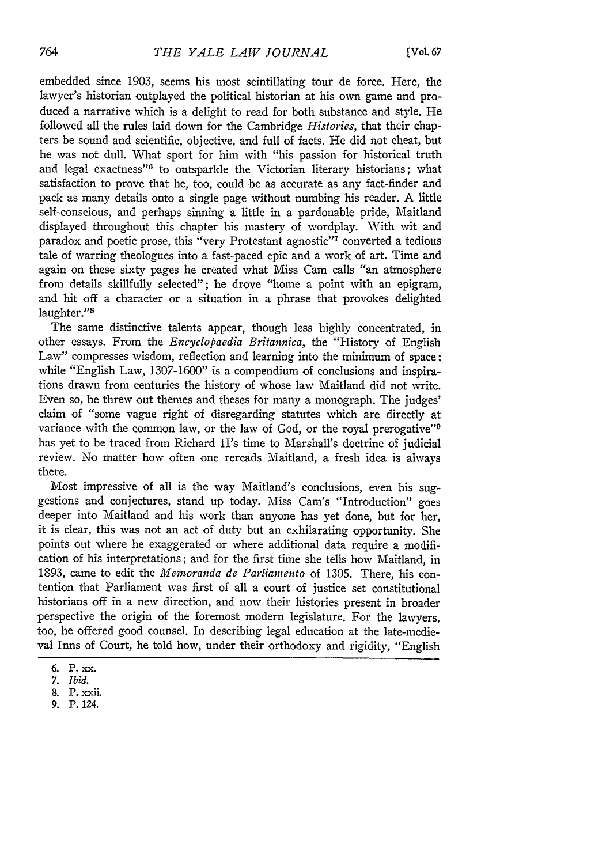embedded since 1903, seems his most scintillating tour de force. Here, the lawyer's historian outplayed the political historian at his own game and produced a narrative which is a delight to read for both substance and style. He followed all the rules laid down for the Cambridge *Histories,* that their chapters be sound and scientific, objective, and full of facts. He did not cheat, but he was not dull. What sport for him with "his passion for historical truth and legal exactness"<sup>6</sup> to outsparkle the Victorian literary historians; what satisfaction to prove that he, too, could be as accurate as any fact-finder and pack as many details onto a single page without numbing his reader. A little self-conscious, and perhaps sinning a little in a pardonable pride, Maitland displayed throughout this chapter his mastery of wordplay. With wit and paradox and poetic prose, this "very Protestant agnostic"'7 converted a tedious tale of warring theologues into a fast-paced epic and a work of art. Time and again on these sixty pages he created what Miss Cam calls "an atmosphere from details skillfully selected"; he drove "home a point with an epigram, and hit off a character or a situation in a phrase that provokes delighted laughter."<sup>8</sup>

The same distinctive talents appear, though less highly concentrated, in other essays. From the *Encyclopaedia Britannica,* the "History of English Law" compresses wisdom, reflection and learning into the minimum of space; while "English Law, 1307-1600" is a compendium of conclusions and inspirations drawn from centuries the history of whose law Maitland did not write. Even so, he threw out themes and theses for many a monograph. The judges' claim of "some vague right of disregarding statutes which are directly at variance with the common law, or the law of God, or the royal prerogative"<sup>9</sup> has yet to be traced from Richard II's time to Marshall's doctrine of judicial review. No matter how often one rereads Maitland, a fresh idea is always there.

Most impressive of all is the way Maitland's conclusions, even his suggestions and conjectures, stand up today. Miss Cam's "Introduction" goes deeper into Maitland and his work than anyone has yet done, but for her, it is clear, this was not an act of duty but an exhilarating opportunity. She points out where he exaggerated or where additional data require a modification of his interpretations; and for the first time she tells how Maitland, in 1893, came to edit the *Memoranda de Parliamento* of 1305. There, his contention that Parliament was first of all a court of justice set constitutional historians off in a new direction, and now their histories present in broader perspective the origin of the foremost modern legislature. For the lawyers, too, he offered good counsel. In describing legal education at the late-medieval Inns of Court, he told how, under their orthodoxy and rigidity, "English

**<sup>6.</sup>** P. **-x.**

*<sup>7.</sup> Ibid.*

<sup>8.</sup> P. xxii.

<sup>9.</sup> P. 124.